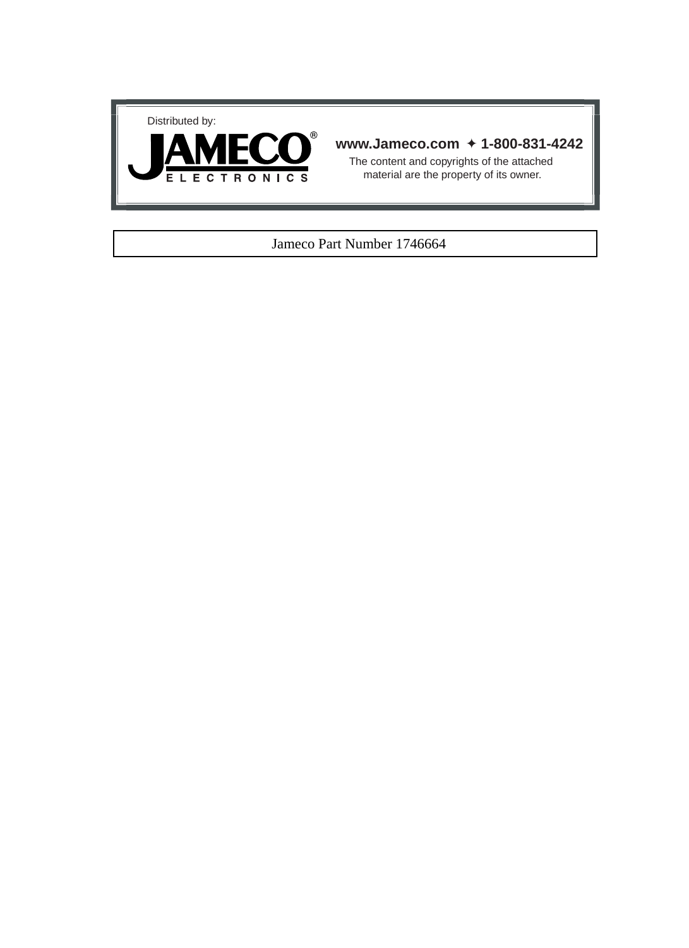



#### **www.Jameco.com** ✦ **1-800-831-4242**

The content and copyrights of the attached material are the property of its owner.

#### Jameco Part Number 1746664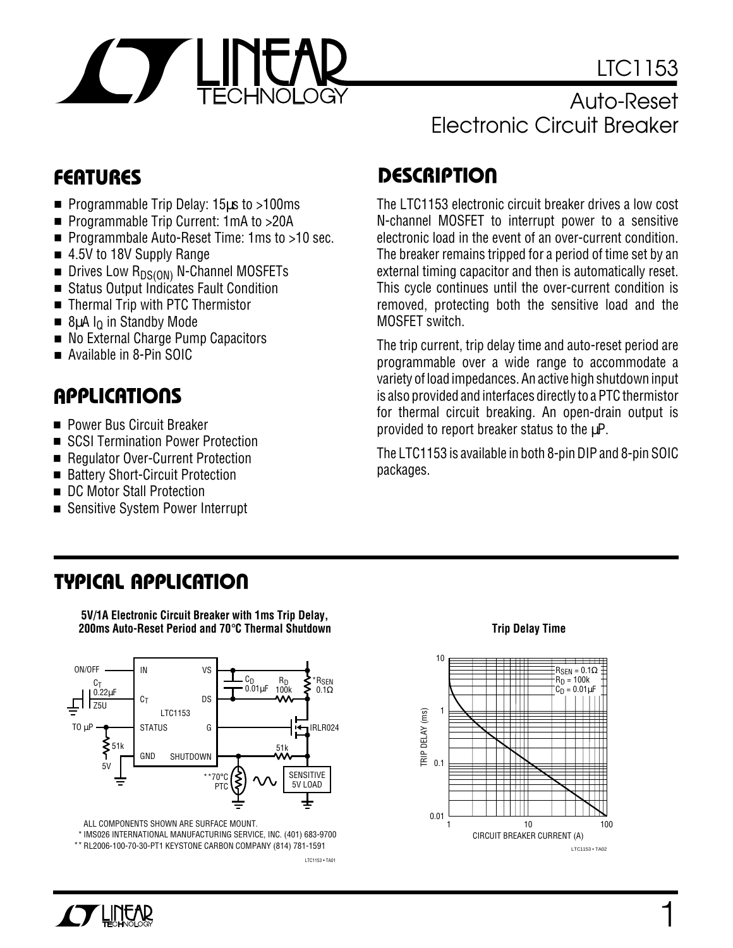

## Auto-Reset Electronic Circuit Breaker

- Programmable Trip Delay: 15us to >100ms
- Programmable Trip Current: 1mA to >20A
- Programmbale Auto-Reset Time: 1ms to >10 sec.
- 4.5V to 18V Supply Range
- **Drives Low R** $DS(ON)$  N-Channel MOSFETs
- Status Output Indicates Fault Condition
- Thermal Trip with PTC Thermistor
- $\blacksquare$  8µA I<sub>Q</sub> in Standby Mode
- No External Charge Pump Capacitors
- Available in 8-Pin SOIC

# **U A S O PPLICATI**

- Power Bus Circuit Breaker
- SCSI Termination Power Protection
- Regulator Over-Current Protection
- Battery Short-Circuit Protection
- DC Motor Stall Protection
- Sensitive System Power Interrupt

# **D <sup>U</sup> FEATURES ESCRIPTIO**

The LTC1153 electronic circuit breaker drives a low cost N-channel MOSFET to interrupt power to a sensitive electronic load in the event of an over-current condition. The breaker remains tripped for a period of time set by an external timing capacitor and then is automatically reset. This cycle continues until the over-current condition is removed, protecting both the sensitive load and the MOSFET switch.

The trip current, trip delay time and auto-reset period are programmable over a wide range to accommodate a variety of load impedances. An active high shutdown input is also provided and interfaces directly to a PTC thermistor for thermal circuit breaking. An open-drain output is provided to report breaker status to the  $\mu$ P.

The LTC1153 is available in both 8-pin DIP and 8-pin SOIC packages.

## **TYPICAL APPLICATION**

**5V/1A Electronic Circuit Breaker with 1ms Trip Delay, 200ms Auto-Reset Period and 70**°**C Thermal Shutdown**



ALL COMPONENTS SHOWN ARE SURFACE MOUNT.

\* IMS026 INTERNATIONAL MANUFACTURING SERVICE, INC. (401) 683-9700 \*\* RL2006-100-70-30-PT1 KEYSTONE CARBON COMPANY (814) 781-1591

LTC1153 • TA01

#### **Trip Delay Time**

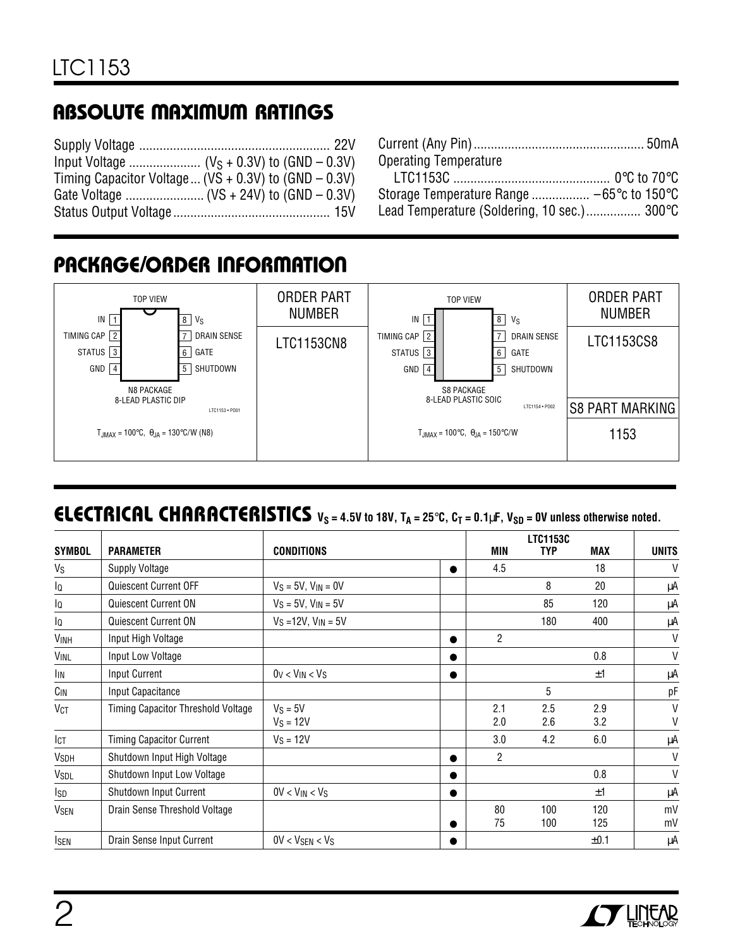# **ABSOLUTE MAXIMUM RATINGS**

| Timing Capacitor Voltage  ( $VS + 0.3V$ ) to (GND $- 0.3V$ ) |  |
|--------------------------------------------------------------|--|
|                                                              |  |
|                                                              |  |

| <b>Operating Temperature</b>                                  |  |
|---------------------------------------------------------------|--|
|                                                               |  |
| Storage Temperature Range $-65^{\circ}$ c to 150 $^{\circ}$ C |  |
| Lead Temperature (Soldering, 10 sec.) 300°C                   |  |

# **PACKAGE/ORDER INFORMATION**



## **ELECTRICAL CHARACTERISTICS**  $V_S = 4.5V$  to 18V,  $T_A = 25^\circ \text{C}$ ,  $C_T = 0.1 \mu \text{F}$ ,  $V_{SD} = 0$ V unless otherwise noted.

|                         | <b>PARAMETER</b><br><b>Supply Voltage</b> | <b>CONDITIONS</b>           |           | <b>LTC1153C</b> |            |            |              |
|-------------------------|-------------------------------------------|-----------------------------|-----------|-----------------|------------|------------|--------------|
| <b>SYMBOL</b>           |                                           |                             |           | MIN             | <b>TYP</b> | MAX        | <b>UNITS</b> |
| Vs                      |                                           |                             | $\bullet$ | 4.5             |            | 18         | V            |
| lQ                      | Quiescent Current OFF                     | $Vs = 5V$ , $V_{IN} = 0V$   |           |                 | 8          | 20         | μA           |
| lQ                      | Quiescent Current ON                      | $V_S = 5V$ , $V_{IN} = 5V$  |           |                 | 85         | 120        | μA           |
| lQ                      | Quiescent Current ON                      | $V_S = 12V$ , $V_{IN} = 5V$ |           |                 | 180        | 400        | μA           |
| <b>VINH</b>             | Input High Voltage                        |                             | $\bullet$ | $\overline{2}$  |            |            | V            |
| VINL                    | Input Low Voltage                         |                             |           |                 |            | 0.8        | V            |
| IIN                     | <b>Input Current</b>                      | $0v < V_{IN} < V_S$         | $\bullet$ |                 |            | ±1         | μA           |
| $C_{IN}$                | Input Capacitance                         |                             |           |                 | 5          |            | pF           |
| <b>V<sub>CT</sub></b>   | Timing Capacitor Threshold Voltage        | $V_S = 5V$<br>$VS = 12V$    |           | 2.1<br>2.0      | 2.5<br>2.6 | 2.9<br>3.2 | V<br>V       |
| Ict                     | <b>Timing Capacitor Current</b>           | $VS = 12V$                  |           | 3.0             | 4.2        | 6.0        | μA           |
| <b>V</b> <sub>SDH</sub> | Shutdown Input High Voltage               |                             | $\bullet$ | $\overline{c}$  |            |            | $\mathsf{V}$ |
| V <sub>SDL</sub>        | Shutdown Input Low Voltage                |                             |           |                 |            | 0.8        | V            |
| Isp                     | Shutdown Input Current                    | $0V < V_{IN} < V_S$         | $\bullet$ |                 |            | ±1         | μA           |
| V <sub>SEN</sub>        | Drain Sense Threshold Voltage             |                             |           | 80<br>75        | 100<br>100 | 120<br>125 | mV<br>mV     |
| <b>I</b> SEN            | Drain Sense Input Current                 | $0V < V_{SEN} < V_S$        |           |                 |            | ±0.1       | μA           |

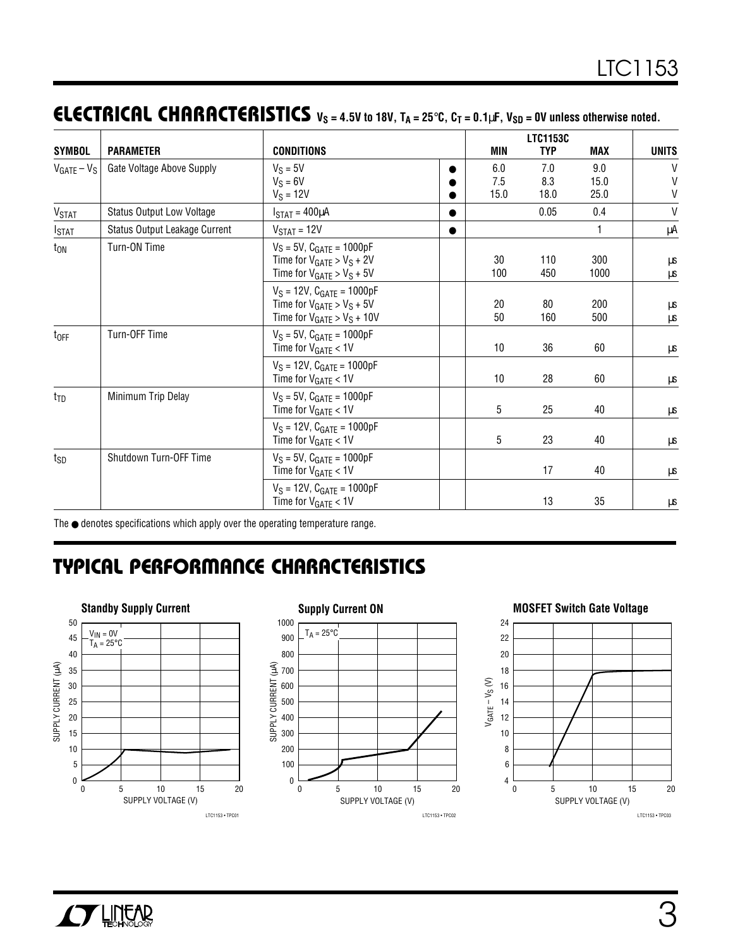|                   |                                      | <b>CONDITIONS</b>                 |  |            |                                             |      |              |
|-------------------|--------------------------------------|-----------------------------------|--|------------|---------------------------------------------|------|--------------|
| <b>SYMBOL</b>     | <b>PARAMETER</b>                     |                                   |  | <b>MIN</b> | <b>LTC1153C</b><br><b>TYP</b><br><b>MAX</b> |      | <b>UNITS</b> |
| $V_{GATE} - V_S$  | Gate Voltage Above Supply            | $V_S = 5V$                        |  | 6.0        | 7.0                                         | 9.0  | $\mathsf{V}$ |
|                   |                                      | $V_S = 6V$                        |  | 7.5        | 8.3                                         | 15.0 | $\vee$       |
|                   |                                      | $V_S = 12V$                       |  | 15.0       | 18.0                                        | 25.0 | $\mathsf{V}$ |
| V <sub>STAT</sub> | <b>Status Output Low Voltage</b>     | $ISTAT = 400\muA$                 |  |            | 0.05                                        | 0.4  | V            |
| I <sub>STAT</sub> | <b>Status Output Leakage Current</b> | $V_{STAT} = 12V$                  |  |            |                                             | 1    | μA           |
| $t_{ON}$          | Turn-ON Time                         | $V_S = 5V$ , $C_{GATE} = 1000pF$  |  |            |                                             |      |              |
|                   |                                      | Time for $V_{GATE} > V_S + 2V$    |  | 30         | 110                                         | 300  | μS           |
|                   |                                      | Time for $V_{GATE} > V_S + 5V$    |  | 100        | 450                                         | 1000 | μS           |
|                   |                                      | $V_S = 12V$ , $C_{GATE} = 1000pF$ |  |            |                                             |      |              |
|                   |                                      | Time for $V_{GATE} > V_S + 5V$    |  | 20         | 80                                          | 200  | μs           |
|                   |                                      | Time for $V_{GATE} > V_S + 10V$   |  | 50         | 160                                         | 500  | μS           |
| toff              | Turn-OFF Time                        | $V_S = 5V$ , $C_{GATE} = 1000pF$  |  |            |                                             |      |              |
|                   |                                      | Time for $V_{GATE} < 1V$          |  | 10         | 36                                          | 60   | μS           |
|                   |                                      | $V_S = 12V$ , $C_{GATE} = 1000pF$ |  |            |                                             |      |              |
|                   |                                      | Time for $V_{GATE} < 1V$          |  | 10         | 28                                          | 60   | μS           |
| t <sub>TD</sub>   | Minimum Trip Delay                   | $V_S = 5V$ , $C_{GATE} = 1000pF$  |  |            |                                             |      |              |
|                   |                                      | Time for $V_{GATE} < 1V$          |  | 5          | 25                                          | 40   | $\mu s$      |
|                   |                                      | $V_S = 12V$ , $C_{GATE} = 1000pF$ |  |            |                                             |      |              |
|                   |                                      | Time for $V_{GATE} < 1V$          |  | 5          | 23                                          | 40   | $\mu s$      |
| t <sub>SD</sub>   | Shutdown Turn-OFF Time               | $V_S = 5V$ , $C_{GATE} = 1000pF$  |  |            |                                             |      |              |
|                   |                                      | Time for $V_{GATE} < 1V$          |  |            | 17                                          | 40   | μs           |
|                   |                                      | $V_S = 12V$ , $C_{GATE} = 1000pF$ |  |            |                                             |      |              |
|                   |                                      | Time for $V_{GATE} < 1V$          |  |            | 13                                          | 35   | $\mu s$      |

The ● denotes specifications which apply over the operating temperature range.

# **TYPICAL PERFORMANCE CHARACTERISTICS**



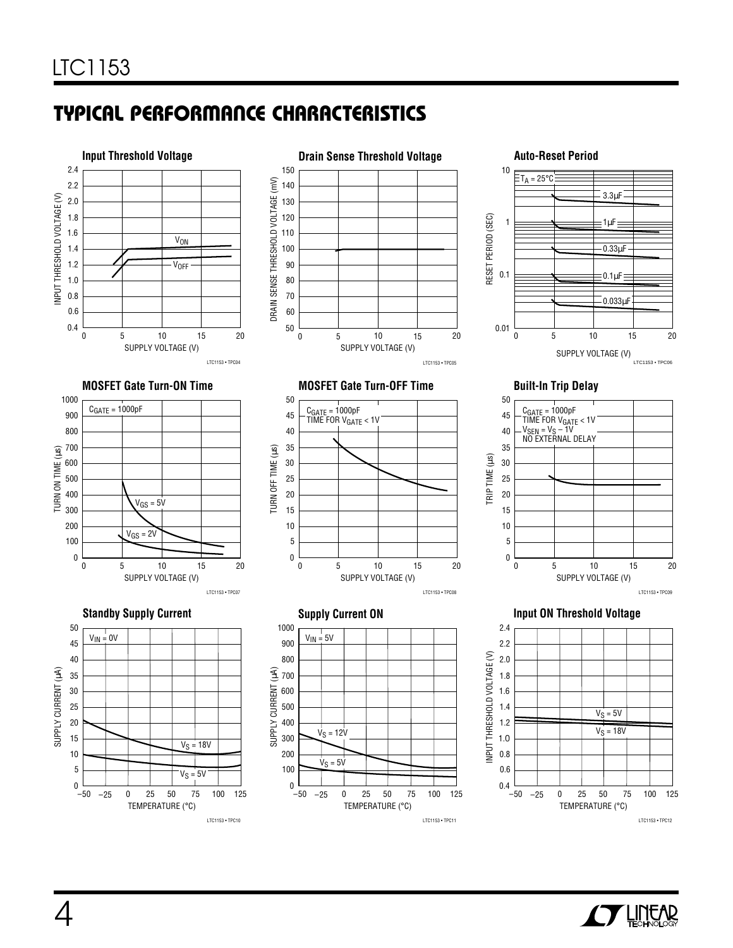# **C C HARA TERISTICS U W TYPICAL PERFOR A CE**



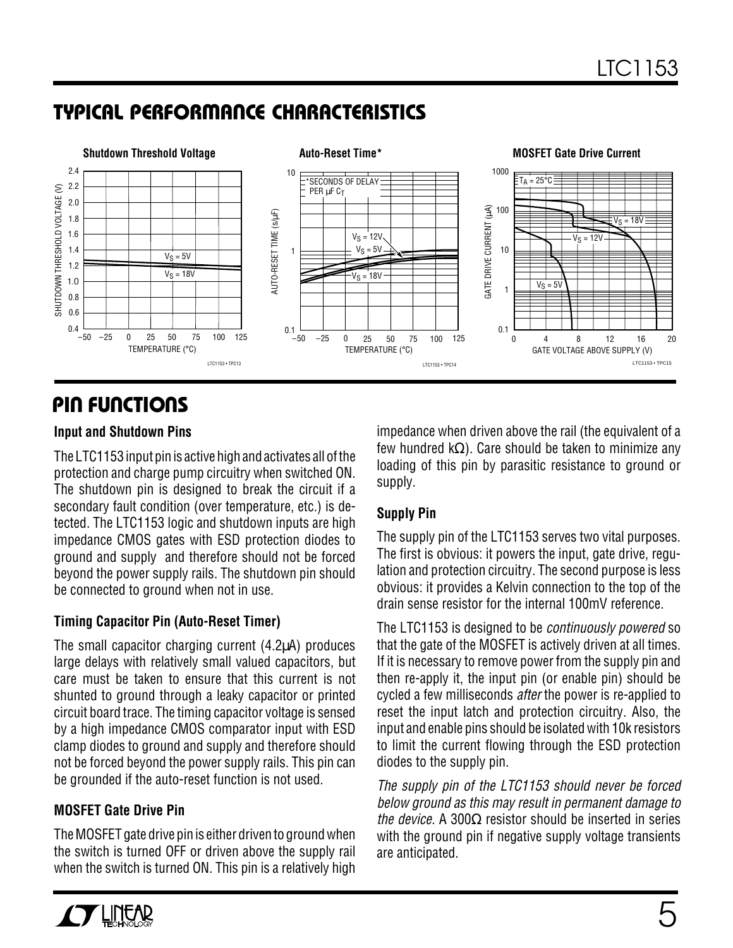## **C C HARA TERISTICS <sup>U</sup> <sup>W</sup> TYPICAL PERFOR A CE**



## **PIN FUNCTIONS**

### **Input and Shutdown Pins**

The LTC1153 input pin is active high and activates all of the protection and charge pump circuitry when switched ON. The shutdown pin is designed to break the circuit if a secondary fault condition (over temperature, etc.) is detected. The LTC1153 logic and shutdown inputs are high impedance CMOS gates with ESD protection diodes to ground and supply and therefore should not be forced beyond the power supply rails. The shutdown pin should be connected to ground when not in use.

## **Timing Capacitor Pin (Auto-Reset Timer)**

The small capacitor charging current (4.2µA) produces large delays with relatively small valued capacitors, but care must be taken to ensure that this current is not shunted to ground through a leaky capacitor or printed circuit board trace. The timing capacitor voltage is sensed by a high impedance CMOS comparator input with ESD clamp diodes to ground and supply and therefore should not be forced beyond the power supply rails. This pin can be grounded if the auto-reset function is not used.

## **MOSFET Gate Drive Pin**

The MOSFET gate drive pin is either driven to ground when the switch is turned OFF or driven above the supply rail when the switch is turned ON. This pin is a relatively high impedance when driven above the rail (the equivalent of a few hundred kΩ). Care should be taken to minimize any loading of this pin by parasitic resistance to ground or supply.

## **Supply Pin**

The supply pin of the LTC1153 serves two vital purposes. The first is obvious: it powers the input, gate drive, regulation and protection circuitry. The second purpose is less obvious: it provides a Kelvin connection to the top of the drain sense resistor for the internal 100mV reference.

The LTC1153 is designed to be continuously powered so that the gate of the MOSFET is actively driven at all times. If it is necessary to remove power from the supply pin and then re-apply it, the input pin (or enable pin) should be cycled a few milliseconds after the power is re-applied to reset the input latch and protection circuitry. Also, the input and enable pins should be isolated with 10k resistors to limit the current flowing through the ESD protection diodes to the supply pin.

The supply pin of the LTC1153 should never be forced below ground as this may result in permanent damage to the device. A 300 $\Omega$  resistor should be inserted in series with the ground pin if negative supply voltage transients are anticipated.

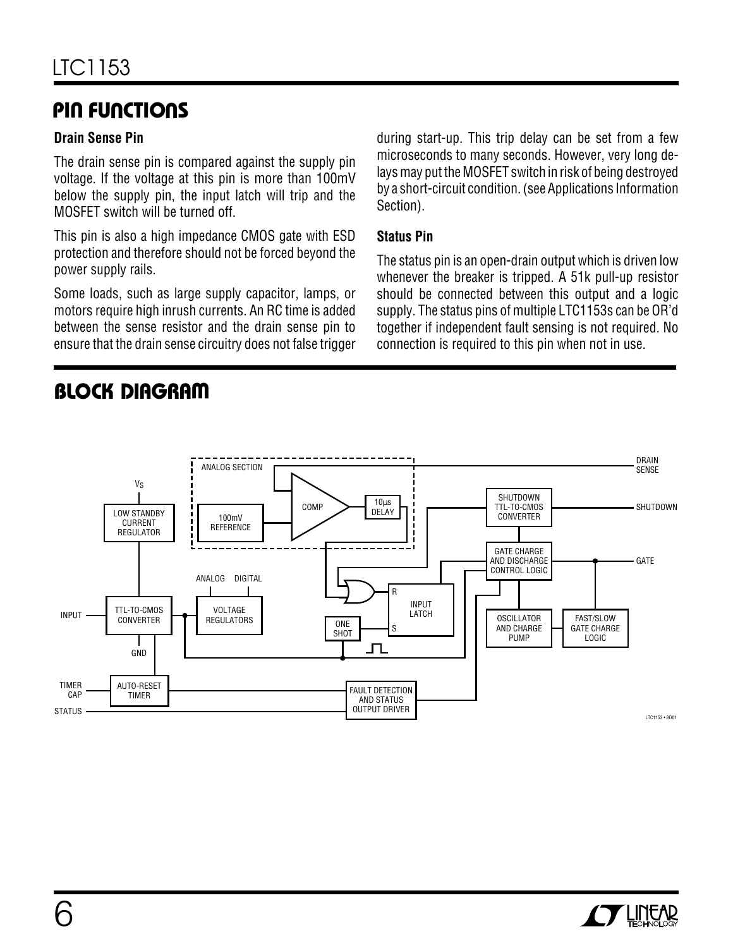## **PIN FUNCTIONS**

### **Drain Sense Pin**

The drain sense pin is compared against the supply pin voltage. If the voltage at this pin is more than 100mV below the supply pin, the input latch will trip and the MOSFET switch will be turned off.

This pin is also a high impedance CMOS gate with ESD protection and therefore should not be forced beyond the power supply rails.

Some loads, such as large supply capacitor, lamps, or motors require high inrush currents. An RC time is added between the sense resistor and the drain sense pin to ensure that the drain sense circuitry does not false trigger during start-up. This trip delay can be set from a few microseconds to many seconds. However, very long delays may put the MOSFET switch in risk of being destroyed by a short-circuit condition. (see Applications Information Section).

#### **Status Pin**

The status pin is an open-drain output which is driven low whenever the breaker is tripped. A 51k pull-up resistor should be connected between this output and a logic supply. The status pins of multiple LTC1153s can be OR'd together if independent fault sensing is not required. No connection is required to this pin when not in use.



# **BLOCK DIAGRAM**

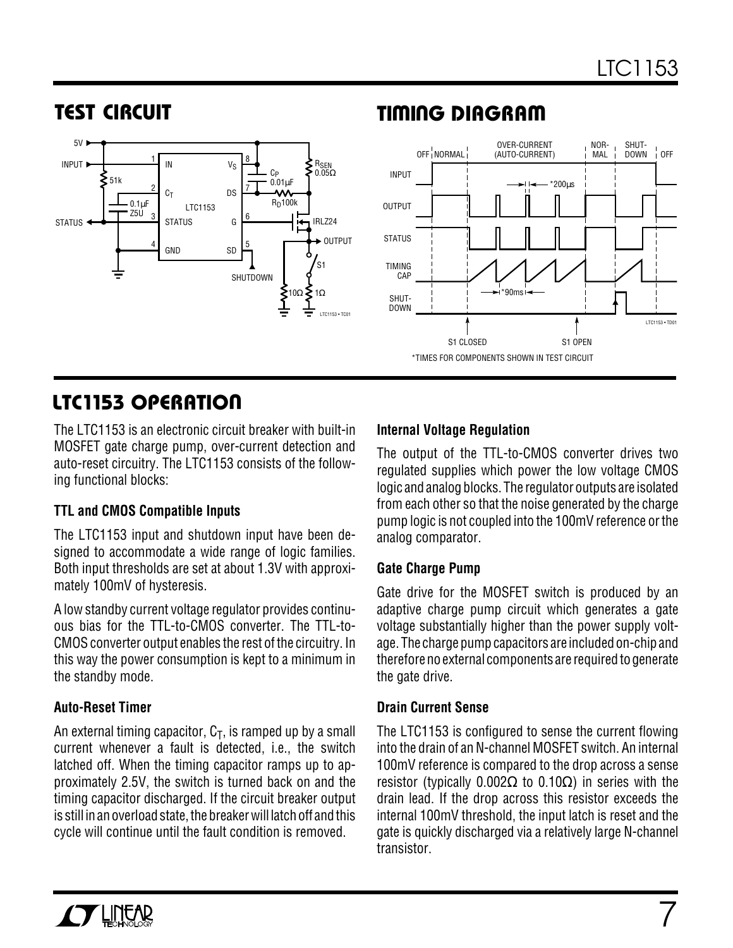

## **TEST CIRCUIT TIMING DIAGRAM**



# LTC1153 OPERATION

The LTC1153 is an electronic circuit breaker with built-in MOSFET gate charge pump, over-current detection and auto-reset circuitry. The LTC1153 consists of the following functional blocks:

## **TTL and CMOS Compatible Inputs**

The LTC1153 input and shutdown input have been designed to accommodate a wide range of logic families. Both input thresholds are set at about 1.3V with approximately 100mV of hysteresis.

A low standby current voltage regulator provides continuous bias for the TTL-to-CMOS converter. The TTL-to-CMOS converter output enables the rest of the circuitry. In this way the power consumption is kept to a minimum in the standby mode.

## **Auto-Reset Timer**

An external timing capacitor,  $C_T$ , is ramped up by a small current whenever a fault is detected, i.e., the switch latched off. When the timing capacitor ramps up to approximately 2.5V, the switch is turned back on and the timing capacitor discharged. If the circuit breaker output is still in an overload state, the breaker will latch off and this cycle will continue until the fault condition is removed.

## **Internal Voltage Regulation**

The output of the TTL-to-CMOS converter drives two regulated supplies which power the low voltage CMOS logic and analog blocks. The regulator outputs are isolated from each other so that the noise generated by the charge pump logic is not coupled into the 100mV reference or the analog comparator.

## **Gate Charge Pump**

Gate drive for the MOSFET switch is produced by an adaptive charge pump circuit which generates a gate voltage substantially higher than the power supply voltage. The charge pump capacitors are included on-chip and therefore no external components are required to generate the gate drive.

## **Drain Current Sense**

The LTC1153 is configured to sense the current flowing into the drain of an N-channel MOSFET switch. An internal 100mV reference is compared to the drop across a sense resistor (typically 0.002Ω to 0.10Ω) in series with the drain lead. If the drop across this resistor exceeds the internal 100mV threshold, the input latch is reset and the gate is quickly discharged via a relatively large N-channel transistor.

7

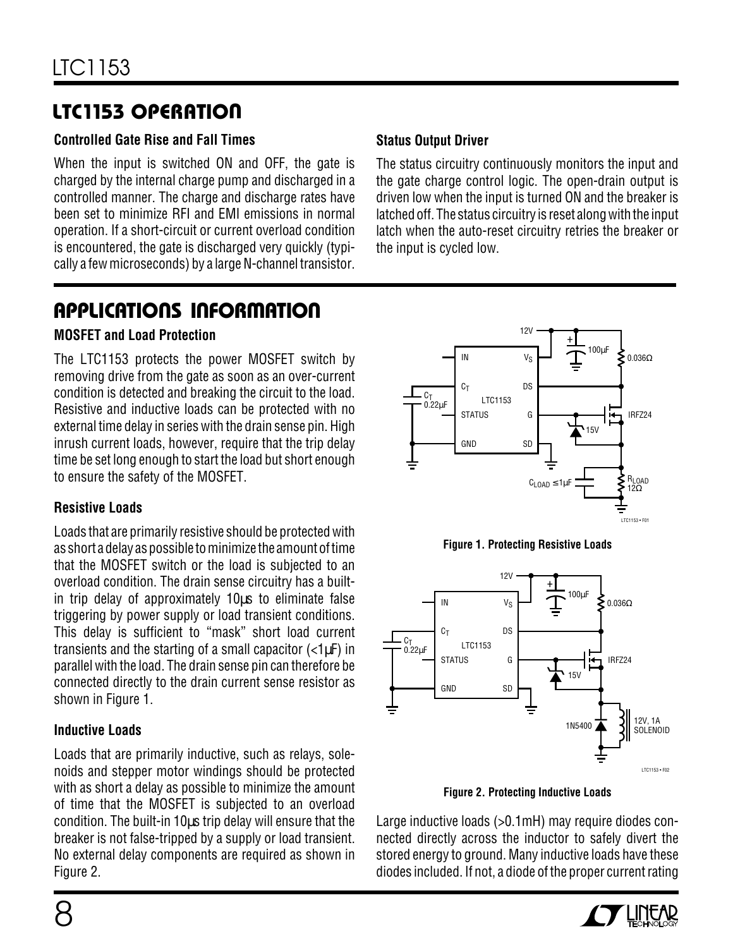# LTC1153 OPERATION

## **Controlled Gate Rise and Fall Times**

When the input is switched ON and OFF, the gate is charged by the internal charge pump and discharged in a controlled manner. The charge and discharge rates have been set to minimize RFI and EMI emissions in normal operation. If a short-circuit or current overload condition is encountered, the gate is discharged very quickly (typically a few microseconds) by a large N-channel transistor.

## **U A S O PPLICATI W U U I FOR ATIO**

### **MOSFET and Load Protection**

The LTC1153 protects the power MOSFET switch by removing drive from the gate as soon as an over-current condition is detected and breaking the circuit to the load. Resistive and inductive loads can be protected with no external time delay in series with the drain sense pin. High inrush current loads, however, require that the trip delay time be set long enough to start the load but short enough to ensure the safety of the MOSFET.

## **Resistive Loads**

Loads that are primarily resistive should be protected with as short a delay as possible to minimize the amount of time that the MOSFET switch or the load is subjected to an overload condition. The drain sense circuitry has a builtin trip delay of approximately 10µs to eliminate false triggering by power supply or load transient conditions. This delay is sufficient to "mask" short load current transients and the starting of a small capacitor  $\left\langle \langle 1 \mu \right\rangle$  in parallel with the load. The drain sense pin can therefore be connected directly to the drain current sense resistor as shown in Figure 1.

## **Inductive Loads**

Loads that are primarily inductive, such as relays, solenoids and stepper motor windings should be protected with as short a delay as possible to minimize the amount of time that the MOSFET is subjected to an overload condition. The built-in 10µs trip delay will ensure that the breaker is not false-tripped by a supply or load transient. No external delay components are required as shown in Figure 2.

## **Status Output Driver**

The status circuitry continuously monitors the input and the gate charge control logic. The open-drain output is driven low when the input is turned ON and the breaker is latched off. The status circuitry is reset along with the input latch when the auto-reset circuitry retries the breaker or the input is cycled low.







**Figure 2. Protecting Inductive Loads**

Large inductive loads (>0.1mH) may require diodes connected directly across the inductor to safely divert the stored energy to ground. Many inductive loads have these diodes included. If not, a diode of the proper current rating

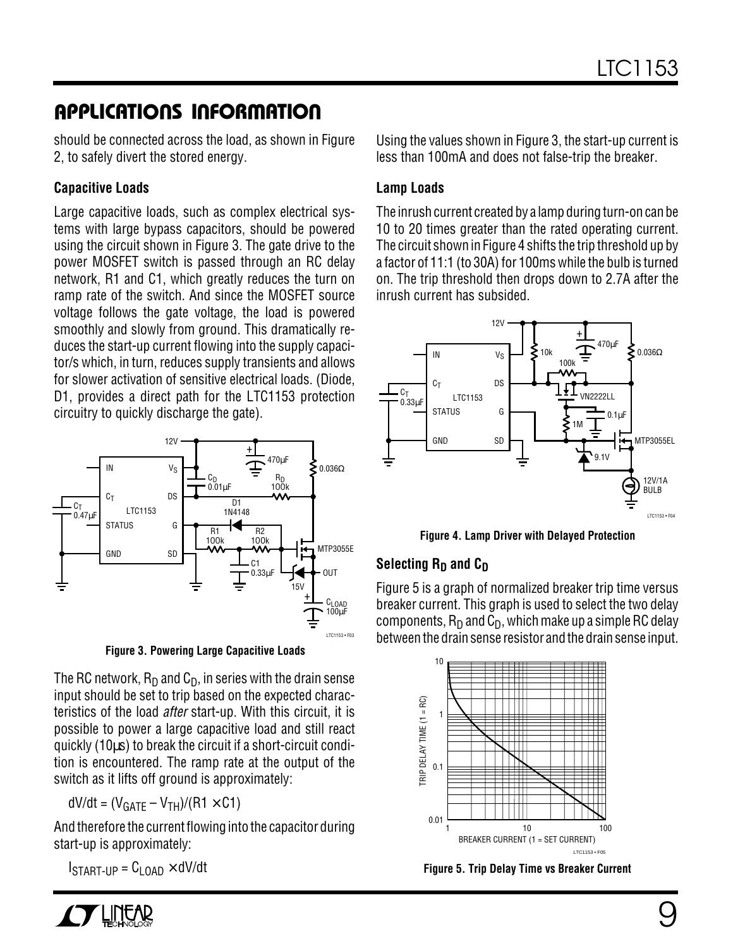# **U A S O PPLICATI W U U I FOR ATIO**

should be connected across the load, as shown in Figure 2, to safely divert the stored energy.

### **Capacitive Loads**

Large capacitive loads, such as complex electrical systems with large bypass capacitors, should be powered using the circuit shown in Figure 3. The gate drive to the power MOSFET switch is passed through an RC delay network, R1 and C1, which greatly reduces the turn on ramp rate of the switch. And since the MOSFET source voltage follows the gate voltage, the load is powered smoothly and slowly from ground. This dramatically reduces the start-up current flowing into the supply capacitor/s which, in turn, reduces supply transients and allows for slower activation of sensitive electrical loads. (Diode, D1, provides a direct path for the LTC1153 protection circuitry to quickly discharge the gate).



**Figure 3. Powering Large Capacitive Loads**

The RC network,  $R_D$  and  $C_D$ , in series with the drain sense input should be set to trip based on the expected characteristics of the load *after* start-up. With this circuit, it is possible to power a large capacitive load and still react quickly (10µs) to break the circuit if a short-circuit condition is encountered. The ramp rate at the output of the switch as it lifts off ground is approximately:

 $dV/dt = (V_{GATE} - V_{TH})/(R1 \times C1)$ 

And therefore the current flowing into the capacitor during start-up is approximately:

 $I_{START-UP} = C_{LOAD} \times dV/dt$ 

Using the values shown in Figure 3, the start-up current is less than 100mA and does not false-trip the breaker.

### **Lamp Loads**

The inrush current created by a lamp during turn-on can be 10 to 20 times greater than the rated operating current. The circuit shown in Figure 4 shifts the trip threshold up by a factor of 11:1 (to 30A) for 100ms while the bulb is turned on. The trip threshold then drops down to 2.7A after the inrush current has subsided.



**Figure 4. Lamp Driver with Delayed Protection**

#### **Selecting R<sub>D</sub> and C<sub>D</sub>**

Figure 5 is a graph of normalized breaker trip time versus breaker current. This graph is used to select the two delay components,  $R_D$  and  $C_D$ , which make up a simple RC delay between the drain sense resistor and the drain sense input.



**Figure 5. Trip Delay Time vs Breaker Current**

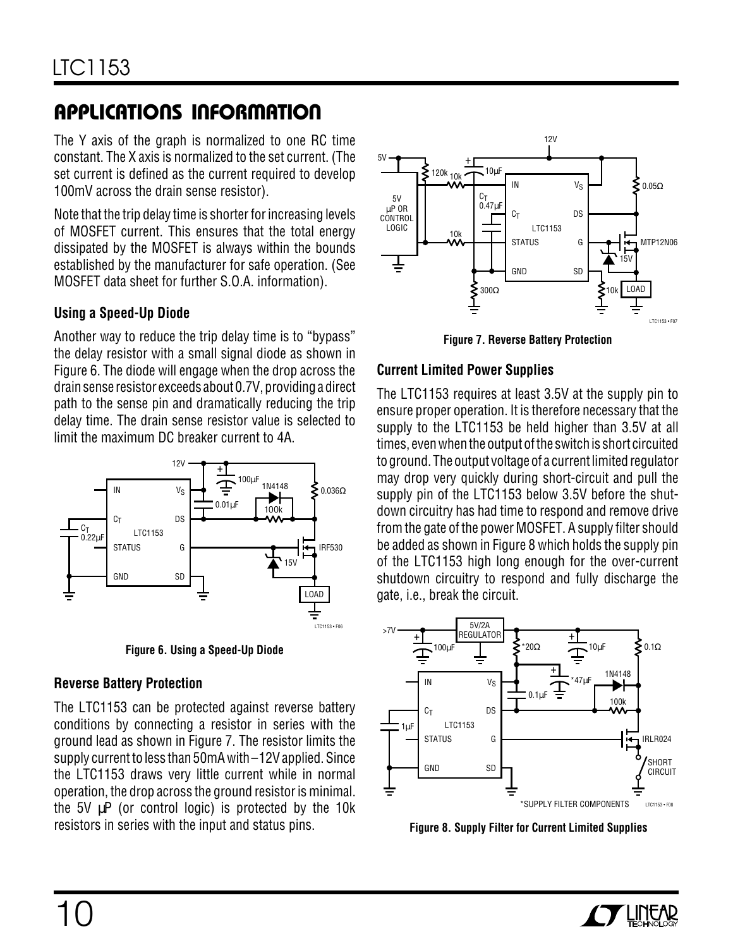# **U A S O PPLICATI W U U I FOR ATIO**

The Y axis of the graph is normalized to one RC time constant. The X axis is normalized to the set current. (The set current is defined as the current required to develop 100mV across the drain sense resistor).

Note that the trip delay time is shorter for increasing levels of MOSFET current. This ensures that the total energy dissipated by the MOSFET is always within the bounds established by the manufacturer for safe operation. (See MOSFET data sheet for further S.O.A. information).

### **Using a Speed-Up Diode**

Another way to reduce the trip delay time is to "bypass" the delay resistor with a small signal diode as shown in Figure 6. The diode will engage when the drop across the drain sense resistor exceeds about 0.7V, providing a direct path to the sense pin and dramatically reducing the trip delay time. The drain sense resistor value is selected to limit the maximum DC breaker current to 4A.



**Figure 6. Using a Speed-Up Diode**

## **Reverse Battery Protection**

The LTC1153 can be protected against reverse battery conditions by connecting a resistor in series with the ground lead as shown in Figure 7. The resistor limits the supply current to less than 50mA with –12V applied. Since the LTC1153 draws very little current while in normal operation, the drop across the ground resistor is minimal. the 5V µP (or control logic) is protected by the 10k resistors in series with the input and status pins. **Figure 8. Supply Filter for Current Limited Supplies**



**Figure 7. Reverse Battery Protection**

## **Current Limited Power Supplies**

The LTC1153 requires at least 3.5V at the supply pin to ensure proper operation. It is therefore necessary that the supply to the LTC1153 be held higher than 3.5V at all times, even when the output of the switch is short circuited to ground. The output voltage of a current limited regulator may drop very quickly during short-circuit and pull the supply pin of the LTC1153 below 3.5V before the shutdown circuitry has had time to respond and remove drive from the gate of the power MOSFET. A supply filter should be added as shown in Figure 8 which holds the supply pin of the LTC1153 high long enough for the over-current shutdown circuitry to respond and fully discharge the gate, i.e., break the circuit.



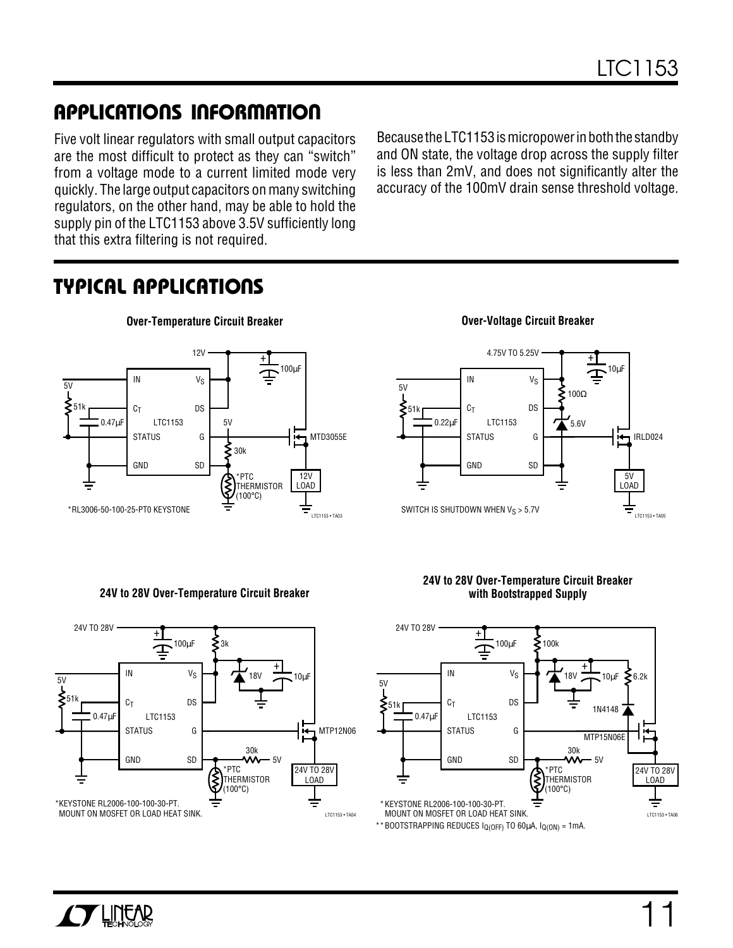# **U A S O PPLICATI W U U I FOR ATIO**

Five volt linear regulators with small output capacitors are the most difficult to protect as they can "switch" from a voltage mode to a current limited mode very quickly. The large output capacitors on many switching regulators, on the other hand, may be able to hold the supply pin of the LTC1153 above 3.5V sufficiently long that this extra filtering is not required.

Because the LTC1153 is micropower in both the standby and ON state, the voltage drop across the supply filter is less than 2mV, and does not significantly alter the accuracy of the 100mV drain sense threshold voltage.

# **TYPICAL APPLICATIONS**



#### **24V to 28V Over-Temperature Circuit Breaker**



## **Over-Voltage Circuit Breaker**





## **with Bootstrapped Supply**



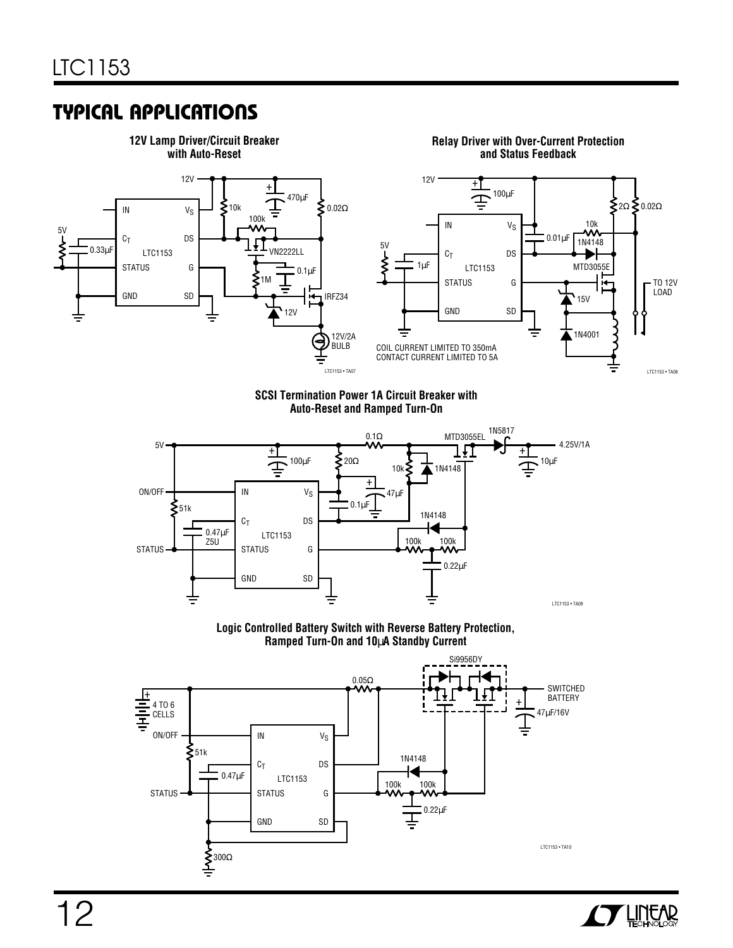## **U A S O TYPICAL PPLICATI**





**Logic Controlled Battery Switch with Reverse Battery Protection, Ramped Turn-On and 10**µ**A Standby Current**





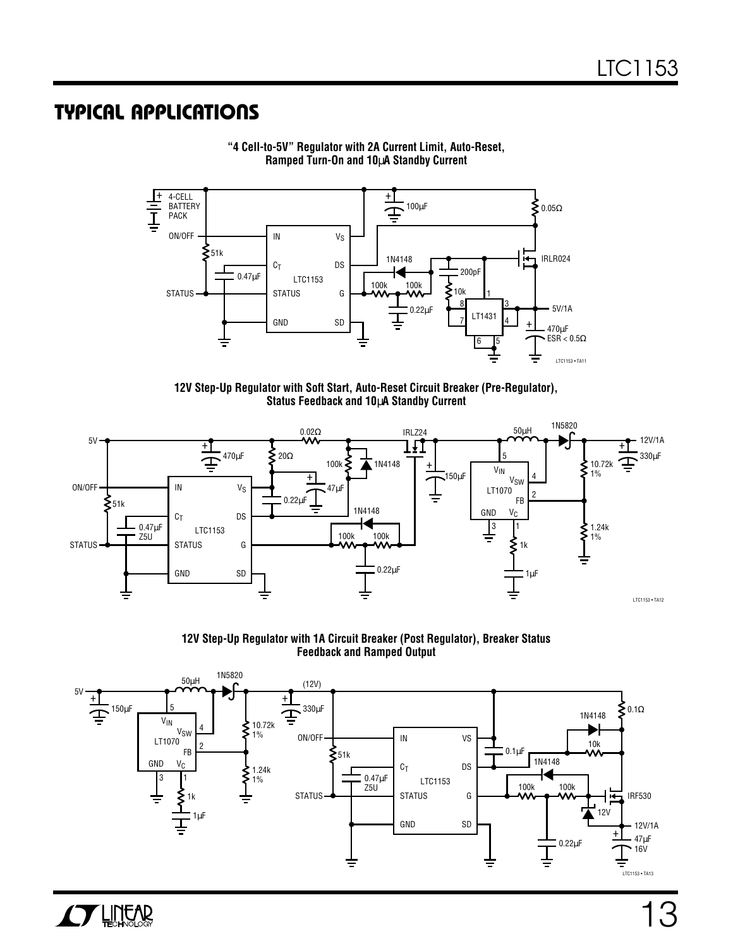## **U A S O TYPICAL PPLICATI**

**AV LINEAR** 



**"4 Cell-to-5V" Regulator with 2A Current Limit, Auto-Reset, Ramped Turn-On and 10**µ**A Standby Current**

**12V Step-Up Regulator with Soft Start, Auto-Reset Circuit Breaker (Pre-Regulator), Status Feedback and 10**µ**A Standby Current**





![](_page_13_Figure_7.jpeg)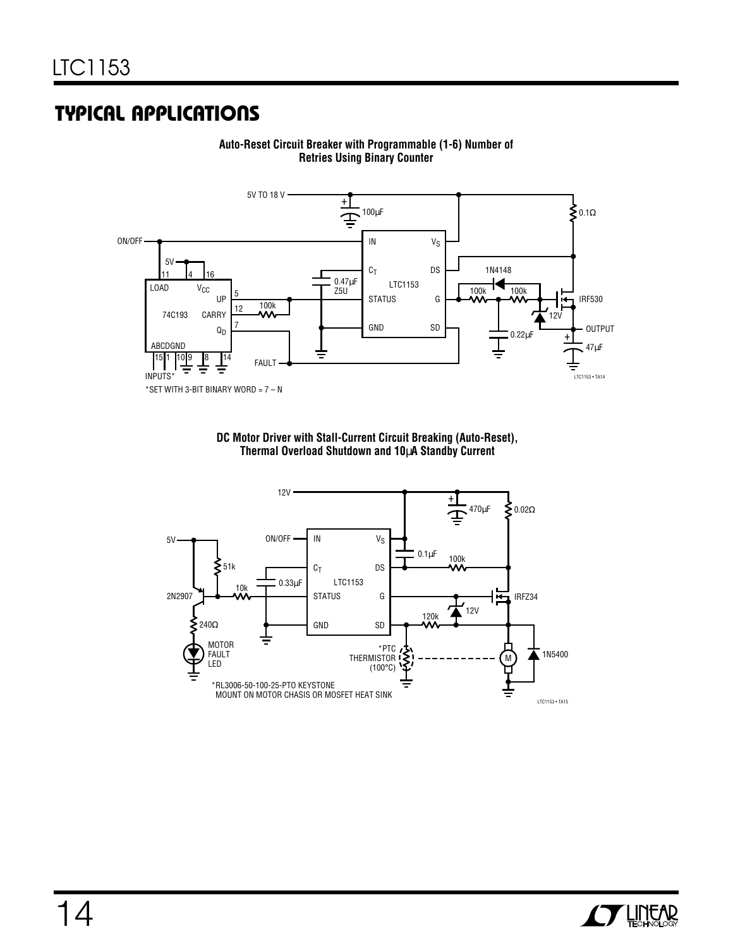## **U A S O TYPICAL PPLICATI**

![](_page_14_Figure_2.jpeg)

**Auto-Reset Circuit Breaker with Programmable (1-6) Number of Retries Using Binary Counter**

**DC Motor Driver with Stall-Current Circuit Breaking (Auto-Reset), Thermal Overload Shutdown and 10**µ**A Standby Current**

![](_page_14_Figure_5.jpeg)

![](_page_14_Picture_6.jpeg)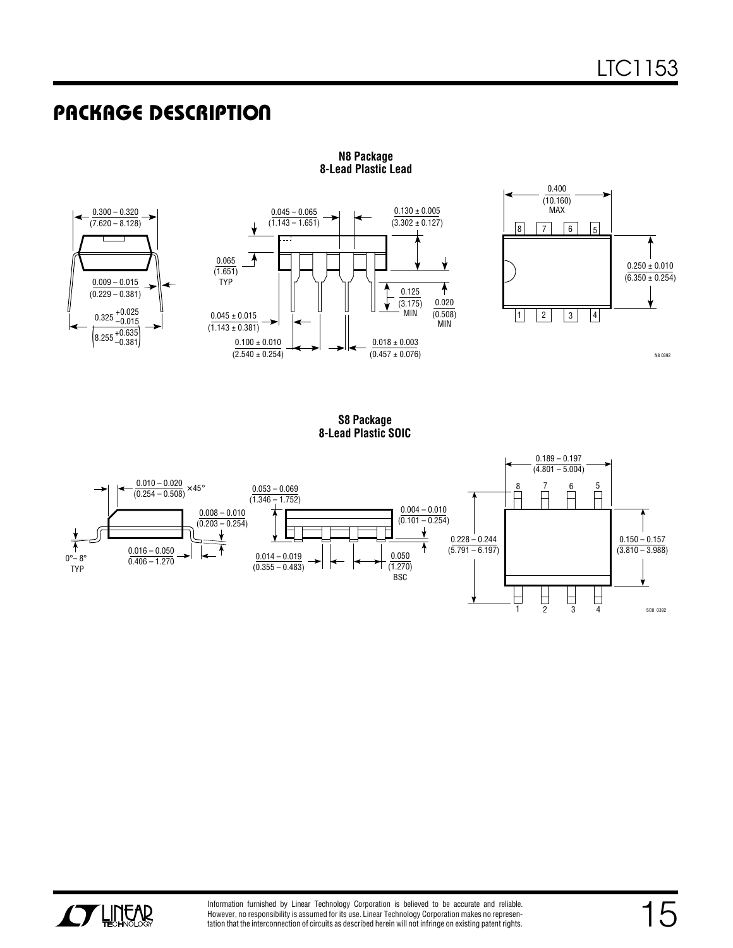## **PACKAGE DESCRIPTION**

![](_page_15_Figure_2.jpeg)

**N8 Package 8-Lead Plastic Lead**

![](_page_15_Figure_4.jpeg)

N8 0392

**S8 Package 8-Lead Plastic SOIC**

![](_page_15_Figure_7.jpeg)

![](_page_15_Picture_8.jpeg)